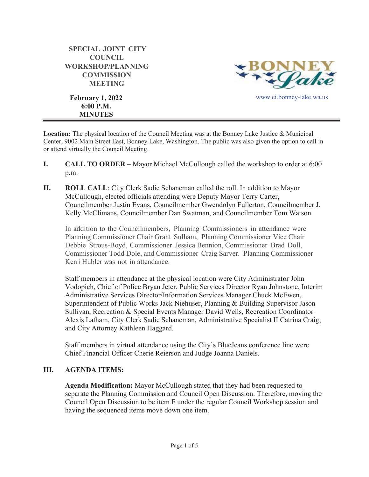| <b>SPECIAL JOINT CITY</b>            |
|--------------------------------------|
| <b>COUNCIL</b>                       |
| <b>WORKSHOP/PLANNING</b>             |
| <b>COMMISSION</b>                    |
| <b>MEETING</b>                       |
| <b>February 1, 2022</b><br>6:00 P.M. |

**MINUTES**

Valco www.ci.bonney-lake.wa.us

**Location:** The physical location of the Council Meeting was at the Bonney Lake Justice & Municipal Center, 9002 Main Street East, Bonney Lake, Washington. The public was also given the option to call in or attend virtually the Council Meeting.

- **I. CALL TO ORDER**  Mayor Michael McCullough called the workshop to order at 6:00 p.m.
- **II. ROLL CALL**: City Clerk Sadie Schaneman called the roll. In addition to Mayor McCullough, elected officials attending were Deputy Mayor Terry Carter, Councilmember Justin Evans, Councilmember Gwendolyn Fullerton, Councilmember J. Kelly McClimans, Councilmember Dan Swatman, and Councilmember Tom Watson.

In addition to the Councilmembers, Planning Commissioners in attendance were Planning Commissioner Chair Grant Sulham, Planning Commissioner Vice Chair Debbie Strous-Boyd, Commissioner Jessica Bennion, Commissioner Brad Doll, Commissioner Todd Dole, and Commissioner Craig Sarver. Planning Commissioner Kerri Hubler was not in attendance.

Staff members in attendance at the physical location were City Administrator John Vodopich, Chief of Police Bryan Jeter, Public Services Director Ryan Johnstone, Interim Administrative Services Director/Information Services Manager Chuck McEwen, Superintendent of Public Works Jack Niehuser, Planning & Building Supervisor Jason Sullivan, Recreation & Special Events Manager David Wells, Recreation Coordinator Alexis Latham, City Clerk Sadie Schaneman, Administrative Specialist II Catrina Craig, and City Attorney Kathleen Haggard.

Staff members in virtual attendance using the City's BlueJeans conference line were Chief Financial Officer Cherie Reierson and Judge Joanna Daniels.

# **III. AGENDA ITEMS:**

**Agenda Modification:** Mayor McCullough stated that they had been requested to separate the Planning Commission and Council Open Discussion. Therefore, moving the Council Open Discussion to be item F under the regular Council Workshop session and having the sequenced items move down one item.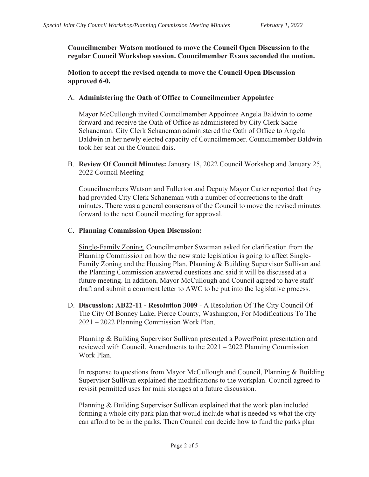**Councilmember Watson motioned to move the Council Open Discussion to the regular Council Workshop session. Councilmember Evans seconded the motion.** 

**Motion to accept the revised agenda to move the Council Open Discussion approved 6-0.** 

### A. **Administering the Oath of Office to Councilmember Appointee**

Mayor McCullough invited Councilmember Appointee Angela Baldwin to come forward and receive the Oath of Office as administered by City Clerk Sadie Schaneman. City Clerk Schaneman administered the Oath of Office to Angela Baldwin in her newly elected capacity of Councilmember. Councilmember Baldwin took her seat on the Council dais.

B. **Review Of Council Minutes:** January 18, 2022 Council Workshop and January 25, 2022 Council Meeting

Councilmembers Watson and Fullerton and Deputy Mayor Carter reported that they had provided City Clerk Schaneman with a number of corrections to the draft minutes. There was a general consensus of the Council to move the revised minutes forward to the next Council meeting for approval.

### C. **Planning Commission Open Discussion:**

Single-Family Zoning. Councilmember Swatman asked for clarification from the Planning Commission on how the new state legislation is going to affect Single-Family Zoning and the Housing Plan. Planning & Building Supervisor Sullivan and the Planning Commission answered questions and said it will be discussed at a future meeting. In addition, Mayor McCullough and Council agreed to have staff draft and submit a comment letter to AWC to be put into the legislative process.

D. **Discussion: AB22-11 - Resolution 3009** - A Resolution Of The City Council Of The City Of Bonney Lake, Pierce County, Washington, For Modifications To The 2021 – 2022 Planning Commission Work Plan.

Planning & Building Supervisor Sullivan presented a PowerPoint presentation and reviewed with Council, Amendments to the 2021 – 2022 Planning Commission Work Plan.

In response to questions from Mayor McCullough and Council, Planning & Building Supervisor Sullivan explained the modifications to the workplan. Council agreed to revisit permitted uses for mini storages at a future discussion.

Planning & Building Supervisor Sullivan explained that the work plan included forming a whole city park plan that would include what is needed vs what the city can afford to be in the parks. Then Council can decide how to fund the parks plan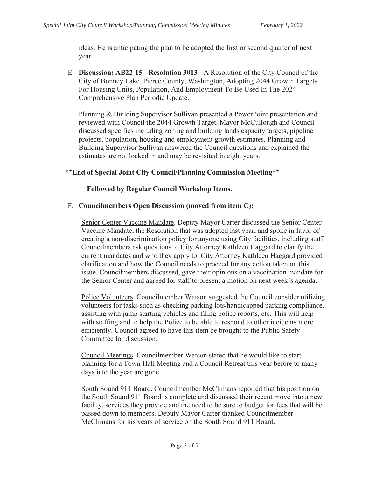ideas. He is anticipating the plan to be adopted the first or second quarter of next year.

E. **Discussion: AB22-15 - Resolution 3013 -** A Resolution of the City Council of the City of Bonney Lake, Pierce County, Washington, Adopting 2044 Growth Targets For Housing Units, Population, And Employment To Be Used In The 2024 Comprehensive Plan Periodic Update.

Planning & Building Supervisor Sullivan presented a PowerPoint presentation and reviewed with Council the 2044 Growth Target. Mayor McCullough and Council discussed specifics including zoning and building lands capacity targets, pipeline projects, population, housing and employment growth estimates. Planning and Building Supervisor Sullivan answered the Council questions and explained the estimates are not locked in and may be revisited in eight years.

# **\*\*End of Special Joint City Council/Planning Commission Meeting\*\***

# **Followed by Regular Council Workshop Items.**

# F. **Councilmembers Open Discussion (moved from item C):**

Senior Center Vaccine Mandate. Deputy Mayor Carter discussed the Senior Center Vaccine Mandate, the Resolution that was adopted last year, and spoke in favor of creating a non-discrimination policy for anyone using City facilities, including staff. Councilmembers ask questions to City Attorney Kathleen Haggard to clarify the current mandates and who they apply to. City Attorney Kathleen Haggard provided clarification and how the Council needs to proceed for any action taken on this issue. Councilmembers discussed, gave their opinions on a vaccination mandate for the Senior Center and agreed for staff to present a motion on next week's agenda.

Police Volunteers. Councilmember Watson suggested the Council consider utilizing volunteers for tasks such as checking parking lots/handicapped parking compliance, assisting with jump starting vehicles and filing police reports, etc. This will help with staffing and to help the Police to be able to respond to other incidents more efficiently. Council agreed to have this item be brought to the Public Safety Committee for discussion.

Council Meetings. Councilmember Watson stated that he would like to start planning for a Town Hall Meeting and a Council Retreat this year before to many days into the year are gone.

South Sound 911 Board. Councilmember McClimans reported that his position on the South Sound 911 Board is complete and discussed their recent move into a new facility, services they provide and the need to be sure to budget for fees that will be passed down to members. Deputy Mayor Carter thanked Councilmember McClimans for his years of service on the South Sound 911 Board.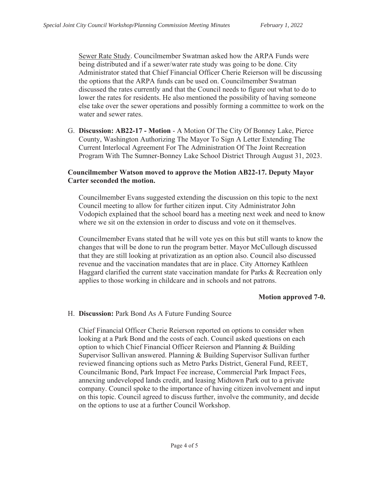Sewer Rate Study. Councilmember Swatman asked how the ARPA Funds were being distributed and if a sewer/water rate study was going to be done. City Administrator stated that Chief Financial Officer Cherie Reierson will be discussing the options that the ARPA funds can be used on. Councilmember Swatman discussed the rates currently and that the Council needs to figure out what to do to lower the rates for residents. He also mentioned the possibility of having someone else take over the sewer operations and possibly forming a committee to work on the water and sewer rates.

G. **Discussion: AB22-17 - Motion** - A Motion Of The City Of Bonney Lake, Pierce County, Washington Authorizing The Mayor To Sign A Letter Extending The Current Interlocal Agreement For The Administration Of The Joint Recreation Program With The Sumner-Bonney Lake School District Through August 31, 2023.

#### **Councilmember Watson moved to approve the Motion AB22-17. Deputy Mayor Carter seconded the motion.**

Councilmember Evans suggested extending the discussion on this topic to the next Council meeting to allow for further citizen input. City Administrator John Vodopich explained that the school board has a meeting next week and need to know where we sit on the extension in order to discuss and vote on it themselves.

Councilmember Evans stated that he will vote yes on this but still wants to know the changes that will be done to run the program better. Mayor McCullough discussed that they are still looking at privatization as an option also. Council also discussed revenue and the vaccination mandates that are in place. City Attorney Kathleen Haggard clarified the current state vaccination mandate for Parks & Recreation only applies to those working in childcare and in schools and not patrons.

#### **Motion approved 7-0.**

#### H. **Discussion:** Park Bond As A Future Funding Source

Chief Financial Officer Cherie Reierson reported on options to consider when looking at a Park Bond and the costs of each. Council asked questions on each option to which Chief Financial Officer Reierson and Planning & Building Supervisor Sullivan answered. Planning & Building Supervisor Sullivan further reviewed financing options such as Metro Parks District, General Fund, REET, Councilmanic Bond, Park Impact Fee increase, Commercial Park Impact Fees, annexing undeveloped lands credit, and leasing Midtown Park out to a private company. Council spoke to the importance of having citizen involvement and input on this topic. Council agreed to discuss further, involve the community, and decide on the options to use at a further Council Workshop.